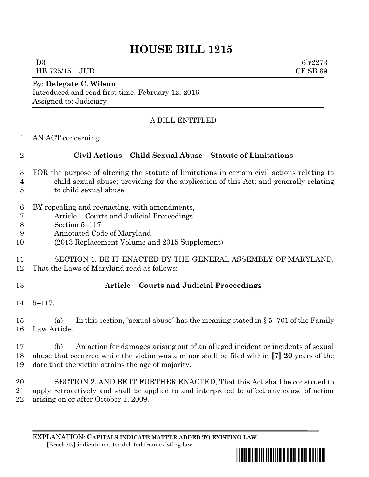# **HOUSE BILL 1215**

D3 6lr2273 HB 725/15 – JUD CF SB 69

#### By: **Delegate C. Wilson** Introduced and read first time: February 12, 2016 Assigned to: Judiciary

### A BILL ENTITLED

|  | AN ACT concerning |
|--|-------------------|
|  |                   |

## **Civil Actions – Child Sexual Abuse – Statute of Limitations**

- FOR the purpose of altering the statute of limitations in certain civil actions relating to child sexual abuse; providing for the application of this Act; and generally relating to child sexual abuse.
- BY repealing and reenacting, with amendments,
- Article Courts and Judicial Proceedings
- Section 5–117
- Annotated Code of Maryland
- (2013 Replacement Volume and 2015 Supplement)
- SECTION 1. BE IT ENACTED BY THE GENERAL ASSEMBLY OF MARYLAND, That the Laws of Maryland read as follows:

### **Article – Courts and Judicial Proceedings**

5–117.

 (a) In this section, "sexual abuse" has the meaning stated in § 5–701 of the Family Law Article.

 (b) An action for damages arising out of an alleged incident or incidents of sexual abuse that occurred while the victim was a minor shall be filed within **[**7**] 20** years of the date that the victim attains the age of majority.

 SECTION 2. AND BE IT FURTHER ENACTED, That this Act shall be construed to apply retroactively and shall be applied to and interpreted to affect any cause of action arising on or after October 1, 2009.